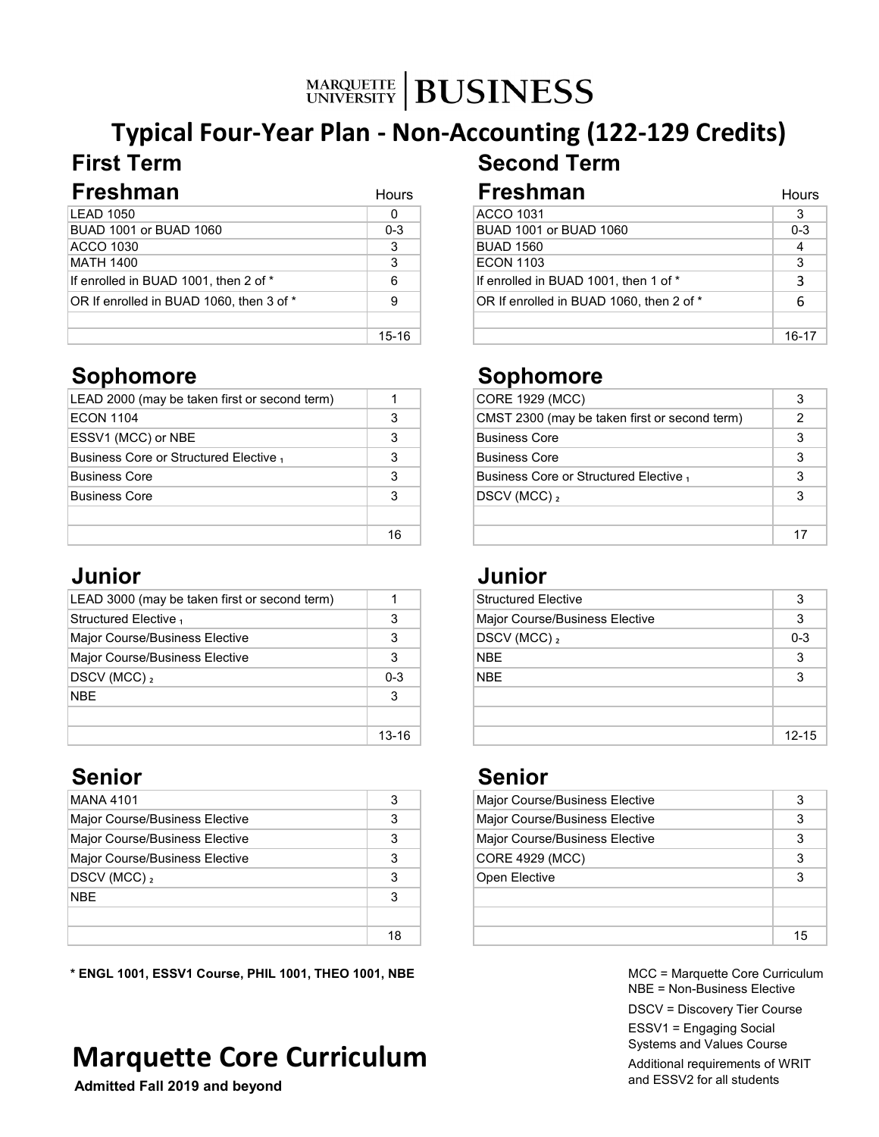# **Typical Four-Year Plan - Non-Accounting (122-129 Credits) First Term Second Term**

| Freshman                                 | <b>Hours</b> | <b>Freshman</b>                          | Hours   |
|------------------------------------------|--------------|------------------------------------------|---------|
| LEAD 1050                                | 0            | <b>ACCO 1031</b>                         |         |
| BUAD 1001 or BUAD 1060                   | $0 - 3$      | BUAD 1001 or BUAD 1060                   | $0 - 3$ |
| ACCO 1030                                |              | <b>BUAD 1560</b>                         |         |
| MATH 1400                                | 3            | <b>ECON 1103</b>                         | ົ       |
| If enrolled in BUAD 1001, then 2 of *    | 6            | If enrolled in BUAD 1001, then 1 of *    |         |
| OR If enrolled in BUAD 1060, then 3 of * | 9            | OR If enrolled in BUAD 1060, then 2 of * |         |
|                                          |              |                                          |         |
|                                          | 15-16        |                                          | 16-17   |

## **Sophomore Sophomore**

| LEAD 2000 (may be taken first or second term) |    | CORE 1929 (MCC)                               |  |
|-----------------------------------------------|----|-----------------------------------------------|--|
| <b>ECON 1104</b>                              |    | CMST 2300 (may be taken first or second term) |  |
| ESSV1 (MCC) or NBE                            |    | Business Core                                 |  |
| Business Core or Structured Elective,         |    | Business Core                                 |  |
| Business Core                                 |    | Business Core or Structured Elective,         |  |
| <b>Business Core</b>                          |    | $DSCV$ (MCC) $_2$                             |  |
|                                               |    |                                               |  |
|                                               | 16 |                                               |  |

## **Junior Junior**

|           | Structured Elective            | 3        |
|-----------|--------------------------------|----------|
| 3         | Major Course/Business Elective | 3        |
|           | $DSCV$ (MCC) $_2$              | $0 - 3$  |
|           | <b>NBE</b>                     | 3        |
| $0 - 3$   | <b>NBE</b>                     | 3        |
| 3         |                                |          |
|           |                                |          |
| $13 - 16$ |                                | $12 - 1$ |
|           |                                |          |

# **Senior Senior**

| MANA 4101                      |    | Major Course/Business Elective |              |
|--------------------------------|----|--------------------------------|--------------|
| Major Course/Business Elective |    | Major Course/Business Elective |              |
| Major Course/Business Elective |    | Major Course/Business Elective |              |
| Major Course/Business Elective |    | CORE 4929 (MCC)                |              |
| $ DSCV(MCC) _2$                |    | Open Elective                  |              |
| <b>NBE</b>                     |    |                                |              |
|                                |    |                                |              |
|                                | 18 |                                | $\mathbf{1}$ |

**\* ENGL 1001, ESSV1 Course, PHIL 1001, THEO 1001, NBE**

# **Marquette Core Curriculum**

 **Admitted Fall 2019 and beyond**

|                | <b>ACCO 1031</b>                         | 3       |
|----------------|------------------------------------------|---------|
| $0 - 3$        | BUAD 1001 or BUAD 1060                   | $0 - 3$ |
| $\overline{3}$ | <b>BUAD 1560</b>                         | 4       |
| 3              | <b>ECON 1103</b>                         | 3       |
| 6              | If enrolled in BUAD 1001, then 1 of *    | 3       |
| 9              | OR If enrolled in BUAD 1060, then 2 of * |         |
|                |                                          |         |
| $15 - 16$      |                                          | 16-17   |

|    | <b>CORE 1929 (MCC)</b>                        |   |
|----|-----------------------------------------------|---|
| 3  | CMST 2300 (may be taken first or second term) | 2 |
| 3  | <b>Business Core</b>                          | 3 |
| 3  | <b>Business Core</b>                          | 3 |
| 3  | Business Core or Structured Elective,         | 3 |
| 3  | $DSCV$ (MCC) $_2$                             |   |
|    |                                               |   |
| 16 |                                               |   |

| <b>Structured Elective</b>     | 3         |
|--------------------------------|-----------|
| Major Course/Business Elective | 3         |
| DSCV (MCC) 2                   | $0 - 3$   |
| <b>NBE</b>                     | 3         |
| NBE                            | 3         |
|                                |           |
|                                |           |
|                                | $12 - 15$ |
|                                |           |

|    | <b>Major Course/Business Elective</b> |    |
|----|---------------------------------------|----|
| -3 | <b>Major Course/Business Elective</b> |    |
| 3  | Major Course/Business Elective        |    |
| 3  | CORE 4929 (MCC)                       |    |
| 3  | Open Elective                         |    |
| 3  |                                       |    |
|    |                                       |    |
| 18 |                                       | 15 |
|    |                                       |    |

MCC = Marquette Core Curriculum NBE = Non-Business Elective

DSCV = Discovery Tier Course

ESSV1 = Engaging Social Systems and Values Course

Additional requirements of WRIT and ESSV2 for all students